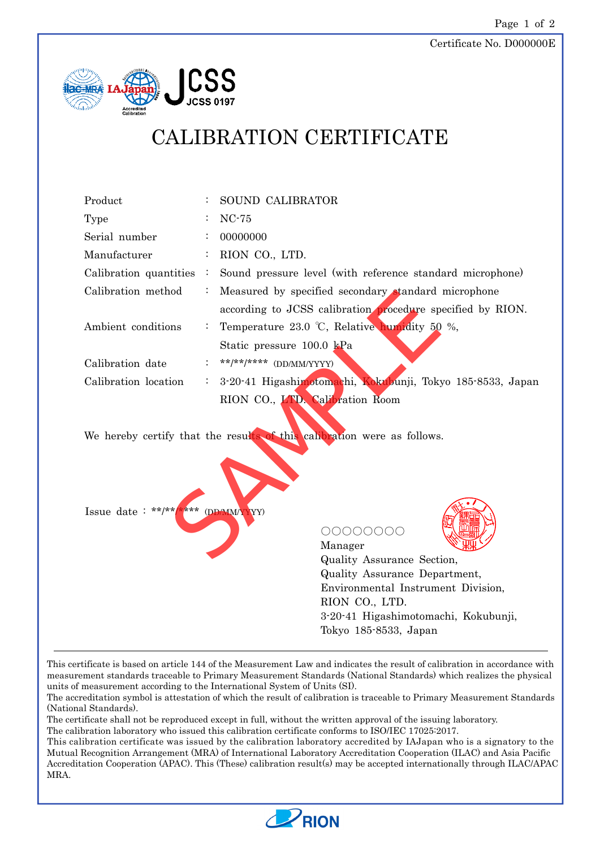

## CALIBRATION CERTIFICATE

| Product                                                                 |                | SOUND CALIBRATOR                                                    |  |  |  |
|-------------------------------------------------------------------------|----------------|---------------------------------------------------------------------|--|--|--|
| Type                                                                    |                | $NC-75$                                                             |  |  |  |
| Serial number                                                           |                | 00000000                                                            |  |  |  |
| Manufacturer                                                            |                | RION CO., LTD.                                                      |  |  |  |
| Calibration quantities                                                  | $\ddot{\cdot}$ | Sound pressure level (with reference standard microphone)           |  |  |  |
| Calibration method                                                      | $\ddot{\cdot}$ | Measured by specified secondary standard microphone                 |  |  |  |
|                                                                         |                | according to JCSS calibration procedure specified by RION.          |  |  |  |
| Ambient conditions                                                      | $\ddot{\cdot}$ | Temperature 23.0 °C, Relative humidity 50 %,                        |  |  |  |
|                                                                         |                | Static pressure 100.0 kPa                                           |  |  |  |
| Calibration date                                                        | $\ddot{\cdot}$ | **/**/***** (DD/MM/YYYY)                                            |  |  |  |
| Calibration location                                                    |                | 3-20-41 Higashimotomachi, Kokubunji, Tokyo 185-8533, Japan          |  |  |  |
|                                                                         |                | RION CO., LTD Calibration Room                                      |  |  |  |
|                                                                         |                |                                                                     |  |  |  |
| We hereby certify that the results of this calibration were as follows. |                |                                                                     |  |  |  |
|                                                                         |                |                                                                     |  |  |  |
|                                                                         |                |                                                                     |  |  |  |
|                                                                         |                |                                                                     |  |  |  |
|                                                                         |                |                                                                     |  |  |  |
| Issue date: **/**/**** (DD/MM/YYY)                                      |                |                                                                     |  |  |  |
|                                                                         |                | 00000000                                                            |  |  |  |
|                                                                         |                | Manager                                                             |  |  |  |
|                                                                         |                | Quality Assurance Section,                                          |  |  |  |
|                                                                         |                | Quality Assurance Department,<br>Environmental Instrument Division, |  |  |  |
|                                                                         |                | RION CO., LTD.                                                      |  |  |  |
|                                                                         |                | 3-20-41 Higashimotomachi, Kokubunji,                                |  |  |  |
|                                                                         |                | Tokyo 185-8533, Japan                                               |  |  |  |
|                                                                         |                |                                                                     |  |  |  |

This certificate is based on article 144 of the Measurement Law and indicates the result of calibration in accordance with measurement standards traceable to Primary Measurement Standards (National Standards) which realizes the physical units of measurement according to the International System of Units (SI).

The accreditation symbol is attestation of which the result of calibration is traceable to Primary Measurement Standards (National Standards).

The certificate shall not be reproduced except in full, without the written approval of the issuing laboratory.

The calibration laboratory who issued this calibration certificate conforms to ISO/IEC 17025:2017.

This calibration certificate was issued by the calibration laboratory accredited by IAJapan who is a signatory to the Mutual Recognition Arrangement (MRA) of International Laboratory Accreditation Cooperation (ILAC) and Asia Pacific Accreditation Cooperation (APAC). This (These) calibration result(s) may be accepted internationally through ILAC/APAC MRA.